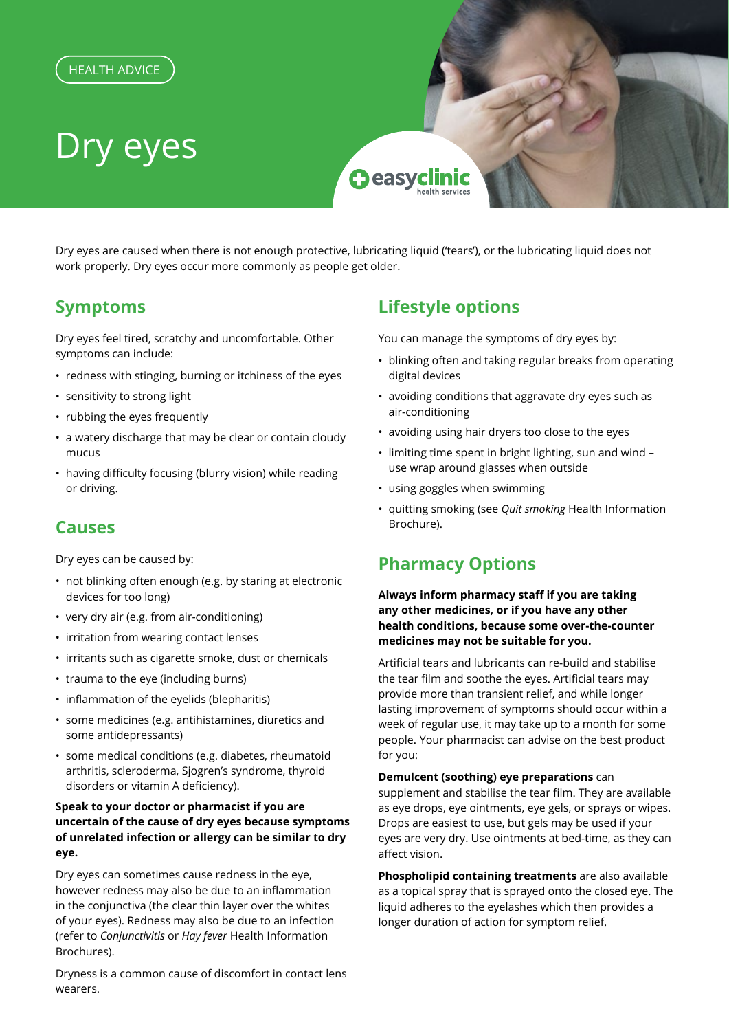

Dry eyes are caused when there is not enough protective, lubricating liquid ('tears'), or the lubricating liquid does not work properly. Dry eyes occur more commonly as people get older.

# **Symptoms**

Dry eyes feel tired, scratchy and uncomfortable. Other symptoms can include:

- redness with stinging, burning or itchiness of the eyes
- sensitivity to strong light
- rubbing the eyes frequently
- a watery discharge that may be clear or contain cloudy mucus
- having difficulty focusing (blurry vision) while reading or driving.

## **Causes**

Dry eyes can be caused by:

- not blinking often enough (e.g. by staring at electronic devices for too long)
- very dry air (e.g. from air-conditioning)
- irritation from wearing contact lenses
- irritants such as cigarette smoke, dust or chemicals
- trauma to the eye (including burns)
- inflammation of the eyelids (blepharitis)
- some medicines (e.g. antihistamines, diuretics and some antidepressants)
- some medical conditions (e.g. diabetes, rheumatoid arthritis, scleroderma, Sjogren's syndrome, thyroid disorders or vitamin A deficiency).

### **Speak to your doctor or pharmacist if you are uncertain of the cause of dry eyes because symptoms of unrelated infection or allergy can be similar to dry eye.**

Dry eyes can sometimes cause redness in the eye, however redness may also be due to an inflammation in the conjunctiva (the clear thin layer over the whites of your eyes). Redness may also be due to an infection (refer to *Conjunctivitis* or *Hay fever* Health Information Brochures).

Dryness is a common cause of discomfort in contact lens wearers.

# **Lifestyle options**

You can manage the symptoms of dry eyes by:

- blinking often and taking regular breaks from operating digital devices
- avoiding conditions that aggravate dry eyes such as air-conditioning
- avoiding using hair dryers too close to the eyes
- limiting time spent in bright lighting, sun and wind use wrap around glasses when outside
- using goggles when swimming
- quitting smoking (see *Quit smoking* Health Information Brochure).

# **Pharmacy Options**

**Always inform pharmacy staff if you are taking any other medicines, or if you have any other health conditions, because some over-the-counter medicines may not be suitable for you.**

Artificial tears and lubricants can re-build and stabilise the tear film and soothe the eyes. Artificial tears may provide more than transient relief, and while longer lasting improvement of symptoms should occur within a week of regular use, it may take up to a month for some people. Your pharmacist can advise on the best product for you:

**Demulcent (soothing) eye preparations** can

supplement and stabilise the tear film. They are available as eye drops, eye ointments, eye gels, or sprays or wipes. Drops are easiest to use, but gels may be used if your eyes are very dry. Use ointments at bed-time, as they can affect vision.

**Phospholipid containing treatments** are also available as a topical spray that is sprayed onto the closed eye. The liquid adheres to the eyelashes which then provides a longer duration of action for symptom relief.